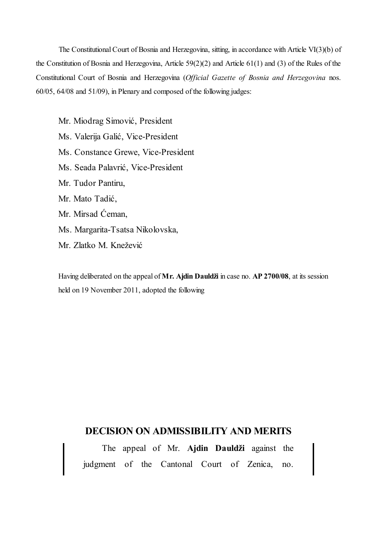The Constitutional Court of Bosnia and Herzegovina, sitting, in accordance with Article VI(3)(b) of the Constitution of Bosnia and Herzegovina, Article 59(2)(2) and Article 61(1) and (3) of the Rules of the Constitutional Court of Bosnia and Herzegovina (*Official Gazette of Bosnia and Herzegovina* nos. 60/05, 64/08 and 51/09), in Plenary and composed of the following judges:

Mr. Miodrag Simović, President Ms. Valerija Galić, Vice-President Ms. Constance Grewe, Vice-President Ms. Seada Palavrić, Vice-President Mr. Tudor Pantiru, Mr. Mato Tadić, Mr. Mirsad Ćeman, Ms. Margarita-Tsatsa Nikolovska, Mr. Zlatko M. Knežević

Having deliberated on the appeal of **Mr. Ajdin Dauldži** in case no. **AP 2700/08**, at its session held on 19 November 2011, adopted the following

# **DECISION ON ADMISSIBILITY AND MERITS**

The appeal of Mr. **Ajdin Dauldži** against the judgment of the Cantonal Court of Zenica, no.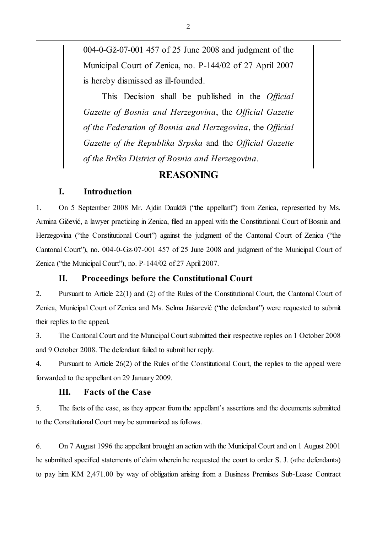004-0-Gž-07-001 457 of 25 June 2008 and judgment of the Municipal Court of Zenica, no. P-144/02 of 27 April 2007 is hereby dismissed as ill-founded.

This Decision shall be published in the *Official Gazette of Bosnia and Herzegovina*, the *Official Gazette of the Federation of Bosnia and Herzegovina*, the *Official Gazette of the Republika Srpska* and the *Official Gazette of the Brčko District of Bosnia and Herzegovina*.

# **REASONING**

# **I. Introduction**

1. On 5 September 2008 Mr. Ajdin Dauldži ("the appellant") from Zenica, represented by Ms. Armina Gičević, a lawyer practicing in Zenica, filed an appeal with the Constitutional Court of Bosnia and Herzegovina ("the Constitutional Court") against the judgment of the Cantonal Court of Zenica ("the Cantonal Court"), no. 004-0-Gz-07-001 457 of 25 June 2008 and judgment of the Municipal Court of Zenica ("the Municipal Court"), no. P-144/02 of 27 April 2007.

## **II. Proceedings before the Constitutional Court**

2. Pursuant to Article 22(1) and (2) of the Rules of the Constitutional Court, the Cantonal Court of Zenica, Municipal Court of Zenica and Ms. Selma Jašarević ("the defendant") were requested to submit their replies to the appeal.

3. The Cantonal Court and the Municipal Court submitted their respective replies on 1 October 2008 and 9 October 2008. The defendant failed to submit her reply.

4. Pursuant to Article 26(2) of the Rules of the Constitutional Court, the replies to the appeal were forwarded to the appellant on 29 January 2009.

# **III. Facts of the Case**

5. The facts of the case, as they appear from the appellant's assertions and the documents submitted to the Constitutional Court may be summarized as follows.

6. On 7 August 1996 the appellant brought an action with the Municipal Court and on 1 August 2001 he submitted specified statements of claim wherein he requested the court to order S. J. («the defendant») to pay him KM 2,471.00 by way of obligation arising from a Business Premises Sub-Lease Contract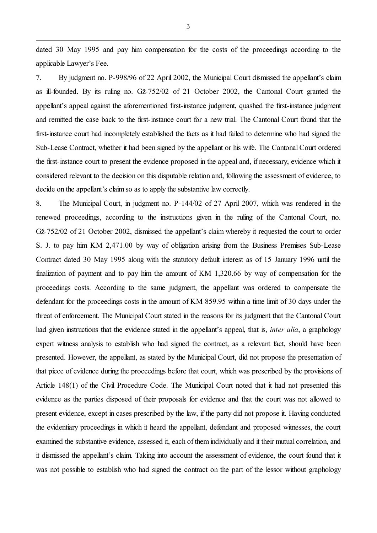dated 30 May 1995 and pay him compensation for the costs of the proceedings according to the applicable Lawyer's Fee.

7. By judgment no. P-998/96 of 22 April 2002, the Municipal Court dismissed the appellant's claim as ill-founded. By its ruling no. Gž-752/02 of 21 October 2002, the Cantonal Court granted the appellant's appeal against the aforementioned first-instance judgment, quashed the first-instance judgment and remitted the case back to the first-instance court for a new trial. The Cantonal Court found that the first-instance court had incompletely established the facts as it had failed to determine who had signed the Sub-Lease Contract, whether it had been signed by the appellant or his wife. The Cantonal Court ordered the first-instance court to present the evidence proposed in the appeal and, if necessary, evidence which it considered relevant to the decision on this disputable relation and, following the assessment of evidence, to decide on the appellant's claim so as to apply the substantive law correctly.

8. The Municipal Court, in judgment no. P-144/02 of 27 April 2007, which was rendered in the renewed proceedings, according to the instructions given in the ruling of the Cantonal Court, no. Gž-752/02 of 21 October 2002, dismissed the appellant's claim whereby it requested the court to order S. J. to pay him KM 2,471.00 by way of obligation arising from the Business Premises Sub-Lease Contract dated 30 May 1995 along with the statutory default interest as of 15 January 1996 until the finalization of payment and to pay him the amount of KM 1,320.66 by way of compensation for the proceedings costs. According to the same judgment, the appellant was ordered to compensate the defendant for the proceedings costs in the amount of KM 859.95 within a time limit of 30 days under the threat of enforcement. The Municipal Court stated in the reasons for its judgment that the Cantonal Court had given instructions that the evidence stated in the appellant's appeal, that is, *inter alia*, a graphology expert witness analysis to establish who had signed the contract, as a relevant fact, should have been presented. However, the appellant, as stated by the Municipal Court, did not propose the presentation of that piece of evidence during the proceedings before that court, which was prescribed by the provisions of Article 148(1) of the Civil Procedure Code. The Municipal Court noted that it had not presented this evidence as the parties disposed of their proposals for evidence and that the court was not allowed to present evidence, except in cases prescribed by the law, if the party did not propose it. Having conducted the evidentiary proceedings in which it heard the appellant, defendant and proposed witnesses, the court examined the substantive evidence, assessed it, each of them individually and it their mutual correlation, and it dismissed the appellant's claim. Taking into account the assessment of evidence, the court found that it was not possible to establish who had signed the contract on the part of the lessor without graphology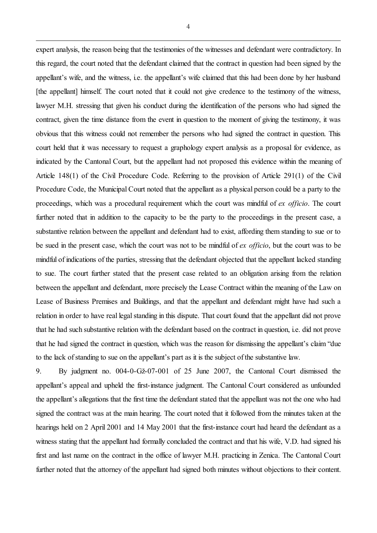expert analysis, the reason being that the testimonies of the witnesses and defendant were contradictory. In this regard, the court noted that the defendant claimed that the contract in question had been signed by the appellant's wife, and the witness, i.e. the appellant's wife claimed that this had been done by her husband [the appellant] himself. The court noted that it could not give credence to the testimony of the witness, lawyer M.H. stressing that given his conduct during the identification of the persons who had signed the contract, given the time distance from the event in question to the moment of giving the testimony, it was obvious that this witness could not remember the persons who had signed the contract in question. This court held that it was necessary to request a graphology expert analysis as a proposal for evidence, as indicated by the Cantonal Court, but the appellant had not proposed this evidence within the meaning of Article 148(1) of the Civil Procedure Code. Referring to the provision of Article 291(1) of the Civil Procedure Code, the Municipal Court noted that the appellant as a physical person could be a party to the proceedings, which was a procedural requirement which the court was mindful of *ex officio*. The court further noted that in addition to the capacity to be the party to the proceedings in the present case, a substantive relation between the appellant and defendant had to exist, affording them standing to sue or to be sued in the present case, which the court was not to be mindful of *ex officio*, but the court was to be mindful of indications of the parties, stressing that the defendant objected that the appellant lacked standing to sue. The court further stated that the present case related to an obligation arising from the relation between the appellant and defendant, more precisely the Lease Contract within the meaning of the Law on Lease of Business Premises and Buildings, and that the appellant and defendant might have had such a relation in order to have real legal standing in this dispute. That court found that the appellant did not prove that he had such substantive relation with the defendant based on the contract in question, i.e. did not prove that he had signed the contract in question, which was the reason for dismissing the appellant's claim "due to the lack of standing to sue on the appellant's part as it is the subject of the substantive law.

9. By judgment no. 004-0-Gž-07-001 of 25 June 2007, the Cantonal Court dismissed the appellant's appeal and upheld the first-instance judgment. The Cantonal Court considered as unfounded the appellant's allegations that the first time the defendant stated that the appellant was not the one who had signed the contract was at the main hearing. The court noted that it followed from the minutes taken at the hearings held on 2 April 2001 and 14 May 2001 that the first-instance court had heard the defendant as a witness stating that the appellant had formally concluded the contract and that his wife, V.D. had signed his first and last name on the contract in the office of lawyer M.H. practicing in Zenica. The Cantonal Court further noted that the attorney of the appellant had signed both minutes without objections to their content.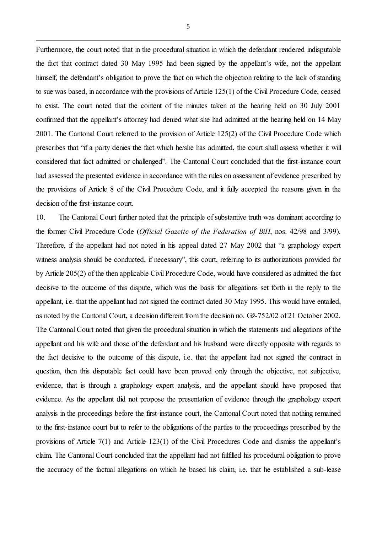Furthermore, the court noted that in the procedural situation in which the defendant rendered indisputable the fact that contract dated 30 May 1995 had been signed by the appellant's wife, not the appellant himself, the defendant's obligation to prove the fact on which the objection relating to the lack of standing to sue was based, in accordance with the provisions of Article 125(1) of the Civil Procedure Code, ceased to exist. The court noted that the content of the minutes taken at the hearing held on 30 July 2001 confirmed that the appellant's attorney had denied what she had admitted at the hearing held on 14 May 2001. The Cantonal Court referred to the provision of Article 125(2) of the Civil Procedure Code which prescribes that "if a party denies the fact which he/she has admitted, the court shall assess whether it will considered that fact admitted or challenged". The Cantonal Court concluded that the first-instance court had assessed the presented evidence in accordance with the rules on assessment of evidence prescribed by the provisions of Article 8 of the Civil Procedure Code, and it fully accepted the reasons given in the decision of the first-instance court.

10. The Cantonal Court further noted that the principle of substantive truth was dominant according to the former Civil Procedure Code (*Official Gazette of the Federation of BiH*, nos. 42/98 and 3/99). Therefore, if the appellant had not noted in his appeal dated 27 May 2002 that "a graphology expert witness analysis should be conducted, if necessary", this court, referring to its authorizations provided for by Article 205(2) of the then applicable Civil Procedure Code, would have considered as admitted the fact decisive to the outcome of this dispute, which was the basis for allegations set forth in the reply to the appellant, i.e. that the appellant had not signed the contract dated 30 May 1995. This would have entailed, as noted by the Cantonal Court, a decision different from the decision no. Gž-752/02 of 21 October 2002. The Cantonal Court noted that given the procedural situation in which the statements and allegations of the appellant and his wife and those of the defendant and his husband were directly opposite with regards to the fact decisive to the outcome of this dispute, i.e. that the appellant had not signed the contract in question, then this disputable fact could have been proved only through the objective, not subjective, evidence, that is through a graphology expert analysis, and the appellant should have proposed that evidence. As the appellant did not propose the presentation of evidence through the graphology expert analysis in the proceedings before the first-instance court, the Cantonal Court noted that nothing remained to the first-instance court but to refer to the obligations of the parties to the proceedings prescribed by the provisions of Article 7(1) and Article 123(1) of the Civil Procedures Code and dismiss the appellant's claim. The Cantonal Court concluded that the appellant had not fulfilled his procedural obligation to prove the accuracy of the factual allegations on which he based his claim, i.e. that he established a sub-lease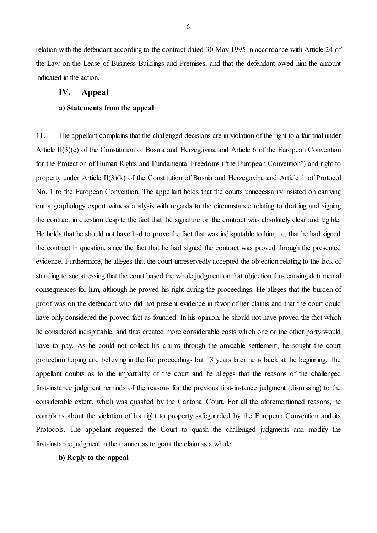relation with the defendant according to the contract dated 30 May 1995 in accordance with Article 24 of the Law on the Lease of Business Buildings and Premises, and that the defendant owed him the amount indicated in the action.

### **IV. Appeal**

### **a) Statements from the appeal**

11. The appellant complains that the challenged decisions are in violation of the right to a fair trial under Article II(3)(e) of the Constitution of Bosnia and Herzegovina and Article 6 of the European Convention for the Protection of Human Rights and Fundamental Freedoms ("the European Convention") and right to property under Article II(3)(k) of the Constitution of Bosnia and Herzegovina and Article 1 of Protocol No. 1 to the European Convention. The appellant holds that the courts unnecessarily insisted on carrying out a graphology expert witness analysis with regards to the circumstance relating to drafting and signing the contract in question despite the fact that the signature on the contract was absolutely clear and legible. He holds that he should not have had to prove the fact that was indisputable to him, i.e. that he had signed the contract in question, since the fact that he had signed the contract was proved through the presented evidence. Furthermore, he alleges that the court unreservedly accepted the objection relating to the lack of standing to sue stressing that the court based the whole judgment on that objection thus causing detrimental consequences for him, although he proved his right during the proceedings. He alleges that the burden of proof was on the defendant who did not present evidence in favor of her claims and that the court could have only considered the proved fact as founded. In his opinion, he should not have proved the fact which he considered indisputable, and thus created more considerable costs which one or the other party would have to pay. As he could not collect his claims through the amicable settlement, he sought the court protection hoping and believing in the fair proceedings but 13 years later he is back at the beginning. The appellant doubts as to the impartiality of the court and he alleges that the reasons of the challenged first-instance judgment reminds of the reasons for the previous first-instance judgment (dismissing) to the considerable extent, which was quashed by the Cantonal Court. For all the aforementioned reasons, he complains about the violation of his right to property safeguarded by the European Convention and its Protocols. The appellant requested the Court to quash the challenged judgments and modify the first-instance judgment in the manner as to grant the claim as a whole.

### **b) Reply to the appeal**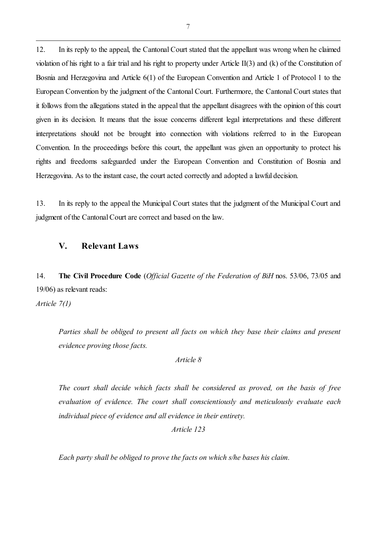12. In its reply to the appeal, the Cantonal Court stated that the appellant was wrong when he claimed violation of his right to a fair trial and his right to property under Article II(3) and (k) of the Constitution of Bosnia and Herzegovina and Article 6(1) of the European Convention and Article 1 of Protocol 1 to the European Convention by the judgment of the Cantonal Court. Furthermore, the Cantonal Court states that it follows from the allegations stated in the appeal that the appellant disagrees with the opinion of this court given in its decision. It means that the issue concerns different legal interpretations and these different interpretations should not be brought into connection with violations referred to in the European Convention. In the proceedings before this court, the appellant was given an opportunity to protect his rights and freedoms safeguarded under the European Convention and Constitution of Bosnia and Herzegovina. As to the instant case, the court acted correctly and adopted a lawful decision.

13. In its reply to the appeal the Municipal Court states that the judgment of the Municipal Court and judgment of the Cantonal Court are correct and based on the law.

# **V. Relevant Laws**

14. **The Civil Procedure Code** (*Official Gazette of the Federation of BiH* nos. 53/06, 73/05 and 19/06) as relevant reads:

*Article 7(1)*

*Parties shall be obliged to present all facts on which they base their claims and present evidence proving those facts.* 

*Article 8*

*The court shall decide which facts shall be considered as proved, on the basis of free evaluation of evidence. The court shall conscientiously and meticulously evaluate each individual piece of evidence and all evidence in their entirety.* 

*Article 123*

*Each party shall be obliged to prove the facts on which s/he bases his claim.*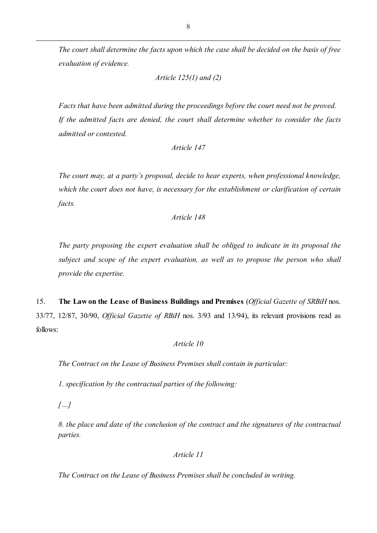*The court shall determine the facts upon which the case shall be decided on the basis of free evaluation of evidence.*

```
Article 125(1) and (2)
```
*Facts that have been admitted during the proceedings before the court need not be proved. If the admitted facts are denied, the court shall determine whether to consider the facts admitted or contested.* 

```
Article 147
```
*The court may, at a party's proposal, decide to hear experts, when professional knowledge, which the court does not have, is necessary for the establishment or clarification of certain facts.* 

### *Article 148*

*The party proposing the expert evaluation shall be obliged to indicate in its proposal the subject and scope of the expert evaluation, as well as to propose the person who shall provide the expertise.* 

15. **The Law on the Lease of Business Buildings and Premises** (*Official Gazette of SRBiH* nos. 33/77, 12/87, 30/90, *Official Gazette of RBiH* nos. 3/93 and 13/94), its relevant provisions read as follows:

### *Article 10*

*The Contract on the Lease of Business Premises shall contain in particular:*

*1. specification by the contractual parties of the following:*

*[…]*

*8. the place and date of the conclusion of the contract and the signatures of the contractual parties.*

*Article 11*

*The Contract on the Lease of Business Premises shall be concluded in writing.*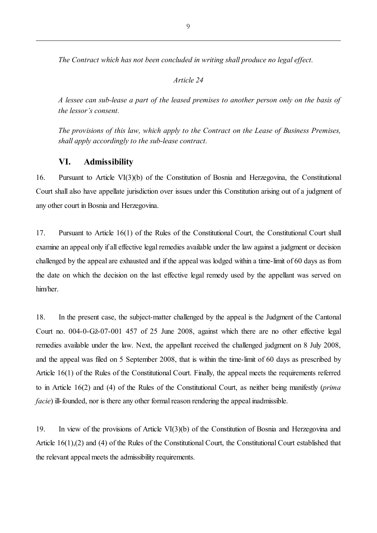*The Contract which has not been concluded in writing shall produce no legal effect.*

#### *Article 24*

*A lessee can sub-lease a part of the leased premises to another person only on the basis of the lessor's consent.*

*The provisions of this law, which apply to the Contract on the Lease of Business Premises, shall apply accordingly to the sub-lease contract.*

## **VI. Admissibility**

16. Pursuant to Article VI(3)(b) of the Constitution of Bosnia and Herzegovina, the Constitutional Court shall also have appellate jurisdiction over issues under this Constitution arising out of a judgment of any other court in Bosnia and Herzegovina.

17. Pursuant to Article 16(1) of the Rules of the Constitutional Court, the Constitutional Court shall examine an appeal only if all effective legal remedies available under the law against a judgment or decision challenged by the appeal are exhausted and if the appeal was lodged within a time-limit of 60 days as from the date on which the decision on the last effective legal remedy used by the appellant was served on him/her.

18. In the present case, the subject-matter challenged by the appeal is the Judgment of the Cantonal Court no. 004-0-Gž-07-001 457 of 25 June 2008, against which there are no other effective legal remedies available under the law. Next, the appellant received the challenged judgment on 8 July 2008, and the appeal was filed on 5 September 2008, that is within the time-limit of 60 days as prescribed by Article 16(1) of the Rules of the Constitutional Court. Finally, the appeal meets the requirements referred to in Article 16(2) and (4) of the Rules of the Constitutional Court, as neither being manifestly (*prima facie*) ill-founded, nor is there any other formal reason rendering the appeal inadmissible.

19. In view of the provisions of Article VI(3)(b) of the Constitution of Bosnia and Herzegovina and Article 16(1),(2) and (4) of the Rules of the Constitutional Court, the Constitutional Court established that the relevant appeal meets the admissibility requirements.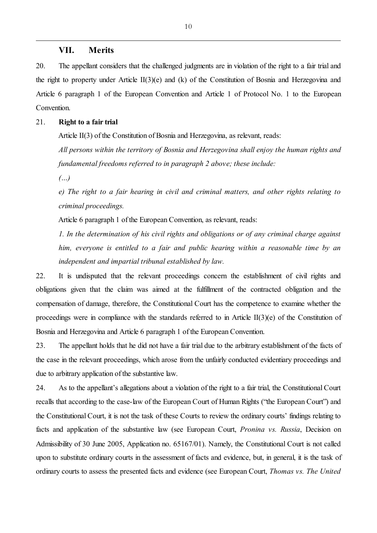#### **VII. Merits**

20. The appellant considers that the challenged judgments are in violation of the right to a fair trial and the right to property under Article II(3)(e) and (k) of the Constitution of Bosnia and Herzegovina and Article 6 paragraph 1 of the European Convention and Article 1 of Protocol No. 1 to the European Convention.

### 21. **Right to a fair trial**

Article II(3) of the Constitution of Bosnia and Herzegovina, as relevant, reads:

*All persons within the territory of Bosnia and Herzegovina shall enjoy the human rights and fundamental freedoms referred to in paragraph 2 above; these include:*

*(…)*

*e) The right to a fair hearing in civil and criminal matters, and other rights relating to criminal proceedings.*

Article 6 paragraph 1 of the European Convention, as relevant, reads:

*1. In the determination of his civil rights and obligations or of any criminal charge against him, everyone is entitled to a fair and public hearing within a reasonable time by an independent and impartial tribunal established by law.*

22. It is undisputed that the relevant proceedings concern the establishment of civil rights and obligations given that the claim was aimed at the fulfillment of the contracted obligation and the compensation of damage, therefore, the Constitutional Court has the competence to examine whether the proceedings were in compliance with the standards referred to in Article II(3)(e) of the Constitution of Bosnia and Herzegovina and Article 6 paragraph 1 of the European Convention.

23. The appellant holds that he did not have a fair trial due to the arbitrary establishment of the facts of the case in the relevant proceedings, which arose from the unfairly conducted evidentiary proceedings and due to arbitrary application of the substantive law.

24. As to the appellant's allegations about a violation of the right to a fair trial, the Constitutional Court recalls that according to the case-law of the European Court of Human Rights ("the European Court") and the Constitutional Court, it is not the task of these Courts to review the ordinary courts' findings relating to facts and application of the substantive law (see European Court, *Pronina vs. Russia*, Decision on Admissibility of 30 June 2005, Application no. 65167/01). Namely, the Constitutional Court is not called upon to substitute ordinary courts in the assessment of facts and evidence, but, in general, it is the task of ordinary courts to assess the presented facts and evidence (see European Court, *Thomas vs. The United*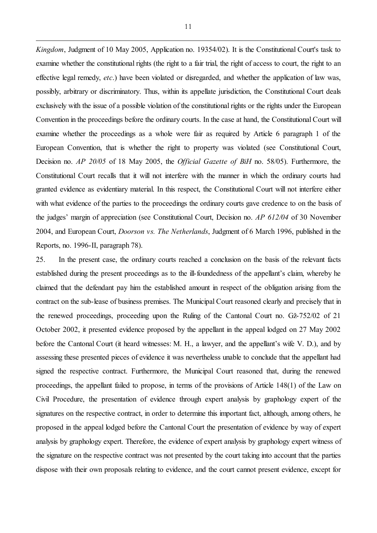*Kingdom*, Judgment of 10 May 2005, Application no. 19354/02). It is the Constitutional Court's task to examine whether the constitutional rights (the right to a fair trial, the right of access to court, the right to an effective legal remedy, *etc*.) have been violated or disregarded, and whether the application of law was, possibly, arbitrary or discriminatory. Thus, within its appellate jurisdiction, the Constitutional Court deals exclusively with the issue of a possible violation of the constitutional rights or the rights under the European Convention in the proceedings before the ordinary courts. In the case at hand, the Constitutional Court will examine whether the proceedings as a whole were fair as required by Article 6 paragraph 1 of the European Convention, that is whether the right to property was violated (see Constitutional Court, Decision no. *AP 20/05* of 18 May 2005, the *Official Gazette of BiH* no. 58/05). Furthermore, the Constitutional Court recalls that it will not interfere with the manner in which the ordinary courts had granted evidence as evidentiary material. In this respect, the Constitutional Court will not interfere either with what evidence of the parties to the proceedings the ordinary courts gave credence to on the basis of the judges' margin of appreciation (see Constitutional Court, Decision no. *AP 612/04* of 30 November 2004, and European Court, *Doorson vs. The Netherlands*, Judgment of 6 March 1996, published in the Reports, no. 1996-II, paragraph 78).

25. In the present case, the ordinary courts reached a conclusion on the basis of the relevant facts established during the present proceedings as to the ill-foundedness of the appellant's claim, whereby he claimed that the defendant pay him the established amount in respect of the obligation arising from the contract on the sub-lease of business premises. The Municipal Court reasoned clearly and precisely that in the renewed proceedings, proceeding upon the Ruling of the Cantonal Court no. Gž-752/02 of 21 October 2002, it presented evidence proposed by the appellant in the appeal lodged on 27 May 2002 before the Cantonal Court (it heard witnesses: M. H., a lawyer, and the appellant's wife V. D.), and by assessing these presented pieces of evidence it was nevertheless unable to conclude that the appellant had signed the respective contract. Furthermore, the Municipal Court reasoned that, during the renewed proceedings, the appellant failed to propose, in terms of the provisions of Article 148(1) of the Law on Civil Procedure, the presentation of evidence through expert analysis by graphology expert of the signatures on the respective contract, in order to determine this important fact, although, among others, he proposed in the appeal lodged before the Cantonal Court the presentation of evidence by way of expert analysis by graphology expert. Therefore, the evidence of expert analysis by graphology expert witness of the signature on the respective contract was not presented by the court taking into account that the parties dispose with their own proposals relating to evidence, and the court cannot present evidence, except for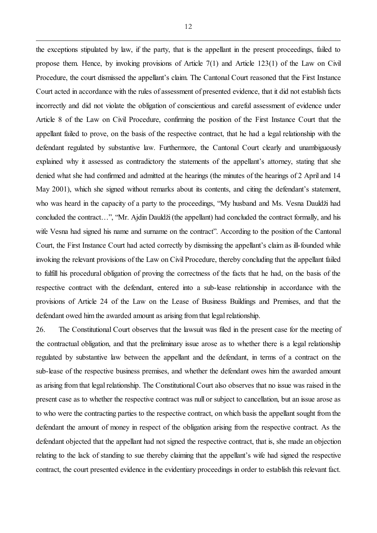the exceptions stipulated by law, if the party, that is the appellant in the present proceedings, failed to propose them. Hence, by invoking provisions of Article 7(1) and Article 123(1) of the Law on Civil Procedure, the court dismissed the appellant's claim. The Cantonal Court reasoned that the First Instance Court acted in accordance with the rules of assessment of presented evidence, that it did not establish facts incorrectly and did not violate the obligation of conscientious and careful assessment of evidence under Article 8 of the Law on Civil Procedure, confirming the position of the First Instance Court that the appellant failed to prove, on the basis of the respective contract, that he had a legal relationship with the defendant regulated by substantive law. Furthermore, the Cantonal Court clearly and unambiguously explained why it assessed as contradictory the statements of the appellant's attorney, stating that she denied what she had confirmed and admitted at the hearings (the minutes of the hearings of 2 April and 14 May 2001), which she signed without remarks about its contents, and citing the defendant's statement, who was heard in the capacity of a party to the proceedings, "My husband and Ms. Vesna Dauldži had concluded the contract…", "Mr. Ajdin Dauldži (the appellant) had concluded the contract formally, and his wife Vesna had signed his name and surname on the contract". According to the position of the Cantonal Court, the First Instance Court had acted correctly by dismissing the appellant's claim as ill-founded while invoking the relevant provisions of the Law on Civil Procedure, thereby concluding that the appellant failed to fulfill his procedural obligation of proving the correctness of the facts that he had, on the basis of the respective contract with the defendant, entered into a sub-lease relationship in accordance with the provisions of Article 24 of the Law on the Lease of Business Buildings and Premises, and that the defendant owed him the awarded amount as arising from that legal relationship.

26. The Constitutional Court observes that the lawsuit was filed in the present case for the meeting of the contractual obligation, and that the preliminary issue arose as to whether there is a legal relationship regulated by substantive law between the appellant and the defendant, in terms of a contract on the sub-lease of the respective business premises, and whether the defendant owes him the awarded amount as arising from that legal relationship. The Constitutional Court also observes that no issue was raised in the present case as to whether the respective contract was null or subject to cancellation, but an issue arose as to who were the contracting parties to the respective contract, on which basis the appellant sought from the defendant the amount of money in respect of the obligation arising from the respective contract. As the defendant objected that the appellant had not signed the respective contract, that is, she made an objection relating to the lack of standing to sue thereby claiming that the appellant's wife had signed the respective contract, the court presented evidence in the evidentiary proceedings in order to establish this relevant fact.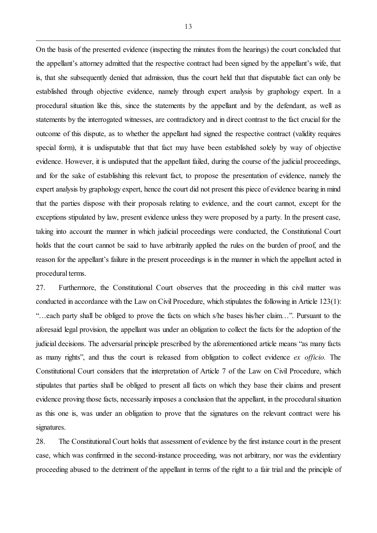On the basis of the presented evidence (inspecting the minutes from the hearings) the court concluded that the appellant's attorney admitted that the respective contract had been signed by the appellant's wife, that is, that she subsequently denied that admission, thus the court held that that disputable fact can only be established through objective evidence, namely through expert analysis by graphology expert. In a procedural situation like this, since the statements by the appellant and by the defendant, as well as statements by the interrogated witnesses, are contradictory and in direct contrast to the fact crucial for the outcome of this dispute, as to whether the appellant had signed the respective contract (validity requires special form), it is undisputable that that fact may have been established solely by way of objective evidence. However, it is undisputed that the appellant failed, during the course of the judicial proceedings, and for the sake of establishing this relevant fact, to propose the presentation of evidence, namely the expert analysis by graphology expert, hence the court did not present this piece of evidence bearing in mind that the parties dispose with their proposals relating to evidence, and the court cannot, except for the exceptions stipulated by law, present evidence unless they were proposed by a party. In the present case, taking into account the manner in which judicial proceedings were conducted, the Constitutional Court holds that the court cannot be said to have arbitrarily applied the rules on the burden of proof, and the reason for the appellant's failure in the present proceedings is in the manner in which the appellant acted in procedural terms.

27. Furthermore, the Constitutional Court observes that the proceeding in this civil matter was conducted in accordance with the Law on Civil Procedure, which stipulates the following in Article 123(1): "…each party shall be obliged to prove the facts on which s/he bases his/her claim…". Pursuant to the aforesaid legal provision, the appellant was under an obligation to collect the facts for the adoption of the judicial decisions. The adversarial principle prescribed by the aforementioned article means "as many facts as many rights", and thus the court is released from obligation to collect evidence *ex officio.* The Constitutional Court considers that the interpretation of Article 7 of the Law on Civil Procedure, which stipulates that parties shall be obliged to present all facts on which they base their claims and present evidence proving those facts, necessarily imposes a conclusion that the appellant, in the procedural situation as this one is, was under an obligation to prove that the signatures on the relevant contract were his signatures.

28. The Constitutional Court holds that assessment of evidence by the first instance court in the present case, which was confirmed in the second-instance proceeding, was not arbitrary, nor was the evidentiary proceeding abused to the detriment of the appellant in terms of the right to a fair trial and the principle of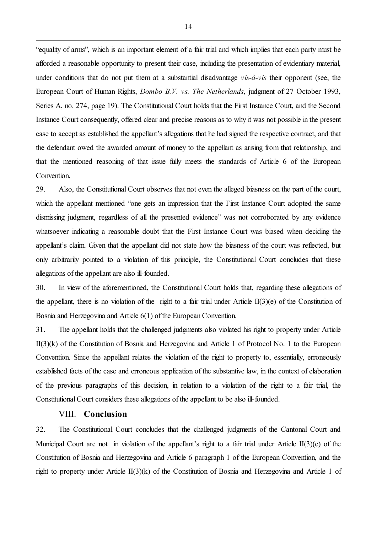"equality of arms", which is an important element of a fair trial and which implies that each party must be afforded a reasonable opportunity to present their case, including the presentation of evidentiary material, under conditions that do not put them at a substantial disadvantage *vis-à-vis* their opponent (see, the European Court of Human Rights, *Dombo B.V. vs. The Netherlands*, judgment of 27 October 1993, Series A, no. 274, page 19). The Constitutional Court holds that the First Instance Court, and the Second Instance Court consequently, offered clear and precise reasons as to why it was not possible in the present case to accept as established the appellant's allegations that he had signed the respective contract, and that the defendant owed the awarded amount of money to the appellant as arising from that relationship, and that the mentioned reasoning of that issue fully meets the standards of Article 6 of the European Convention.

29. Also, the Constitutional Court observes that not even the alleged biasness on the part of the court, which the appellant mentioned "one gets an impression that the First Instance Court adopted the same dismissing judgment, regardless of all the presented evidence" was not corroborated by any evidence whatsoever indicating a reasonable doubt that the First Instance Court was biased when deciding the appellant's claim. Given that the appellant did not state how the biasness of the court was reflected, but only arbitrarily pointed to a violation of this principle, the Constitutional Court concludes that these allegations of the appellant are also ill-founded.

30. In view of the aforementioned, the Constitutional Court holds that, regarding these allegations of the appellant, there is no violation of the right to a fair trial under Article II(3)(e) of the Constitution of Bosnia and Herzegovina and Article 6(1) of the European Convention.

31. The appellant holds that the challenged judgments also violated his right to property under Article II(3)(k) of the Constitution of Bosnia and Herzegovina and Article 1 of Protocol No. 1 to the European Convention. Since the appellant relates the violation of the right to property to, essentially, erroneously established facts of the case and erroneous application of the substantive law, in the context of elaboration of the previous paragraphs of this decision, in relation to a violation of the right to a fair trial, the Constitutional Court considers these allegations of the appellant to be also ill-founded.

### VIII. **Conclusion**

32. The Constitutional Court concludes that the challenged judgments of the Cantonal Court and Municipal Court are not in violation of the appellant's right to a fair trial under Article II(3)(e) of the Constitution of Bosnia and Herzegovina and Article 6 paragraph 1 of the European Convention, and the right to property under Article II(3)(k) of the Constitution of Bosnia and Herzegovina and Article 1 of